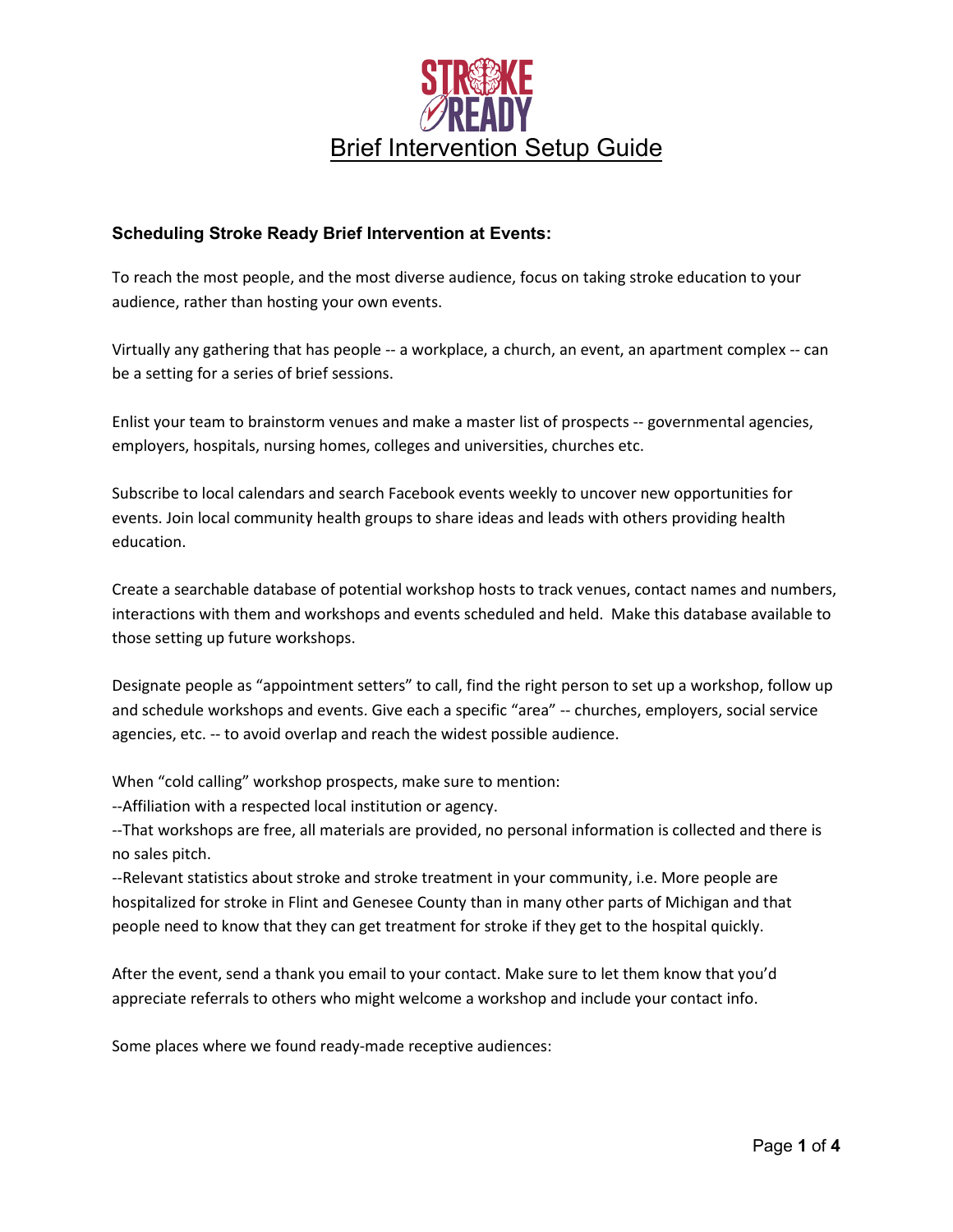

### **Scheduling Stroke Ready Brief Intervention at Events:**

To reach the most people, and the most diverse audience, focus on taking stroke education to your audience, rather than hosting your own events.

Virtually any gathering that has people -- a workplace, a church, an event, an apartment complex -- can be a setting for a series of brief sessions.

Enlist your team to brainstorm venues and make a master list of prospects -- governmental agencies, employers, hospitals, nursing homes, colleges and universities, churches etc.

Subscribe to local calendars and search Facebook events weekly to uncover new opportunities for events. Join local community health groups to share ideas and leads with others providing health education.

Create a searchable database of potential workshop hosts to track venues, contact names and numbers, interactions with them and workshops and events scheduled and held. Make this database available to those setting up future workshops.

Designate people as "appointment setters" to call, find the right person to set up a workshop, follow up and schedule workshops and events. Give each a specific "area" -- churches, employers, social service agencies, etc. -- to avoid overlap and reach the widest possible audience.

When "cold calling" workshop prospects, make sure to mention:

--Affiliation with a respected local institution or agency.

--That workshops are free, all materials are provided, no personal information is collected and there is no sales pitch.

--Relevant statistics about stroke and stroke treatment in your community, i.e. More people are hospitalized for stroke in Flint and Genesee County than in many other parts of Michigan and that people need to know that they can get treatment for stroke if they get to the hospital quickly.

After the event, send a thank you email to your contact. Make sure to let them know that you'd appreciate referrals to others who might welcome a workshop and include your contact info.

Some places where we found ready-made receptive audiences: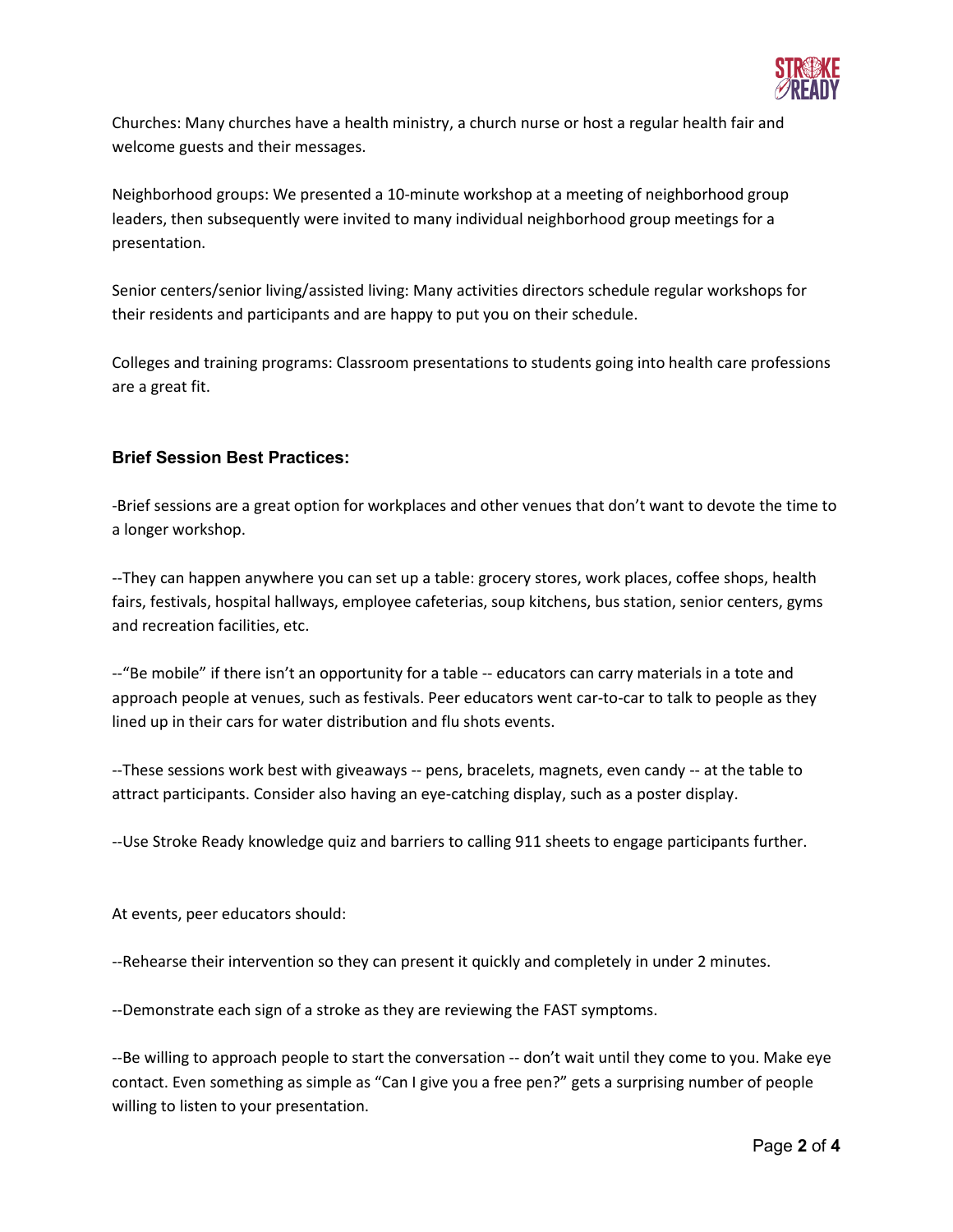

Churches: Many churches have a health ministry, a church nurse or host a regular health fair and welcome guests and their messages.

Neighborhood groups: We presented a 10-minute workshop at a meeting of neighborhood group leaders, then subsequently were invited to many individual neighborhood group meetings for a presentation.

Senior centers/senior living/assisted living: Many activities directors schedule regular workshops for their residents and participants and are happy to put you on their schedule.

Colleges and training programs: Classroom presentations to students going into health care professions are a great fit.

# **Brief Session Best Practices:**

-Brief sessions are a great option for workplaces and other venues that don't want to devote the time to a longer workshop.

--They can happen anywhere you can set up a table: grocery stores, work places, coffee shops, health fairs, festivals, hospital hallways, employee cafeterias, soup kitchens, bus station, senior centers, gyms and recreation facilities, etc.

--"Be mobile" if there isn't an opportunity for a table -- educators can carry materials in a tote and approach people at venues, such as festivals. Peer educators went car-to-car to talk to people as they lined up in their cars for water distribution and flu shots events.

--These sessions work best with giveaways -- pens, bracelets, magnets, even candy -- at the table to attract participants. Consider also having an eye-catching display, such as a poster display.

--Use Stroke Ready knowledge quiz and barriers to calling 911 sheets to engage participants further.

At events, peer educators should:

--Rehearse their intervention so they can present it quickly and completely in under 2 minutes.

--Demonstrate each sign of a stroke as they are reviewing the FAST symptoms.

--Be willing to approach people to start the conversation -- don't wait until they come to you. Make eye contact. Even something as simple as "Can I give you a free pen?" gets a surprising number of people willing to listen to your presentation.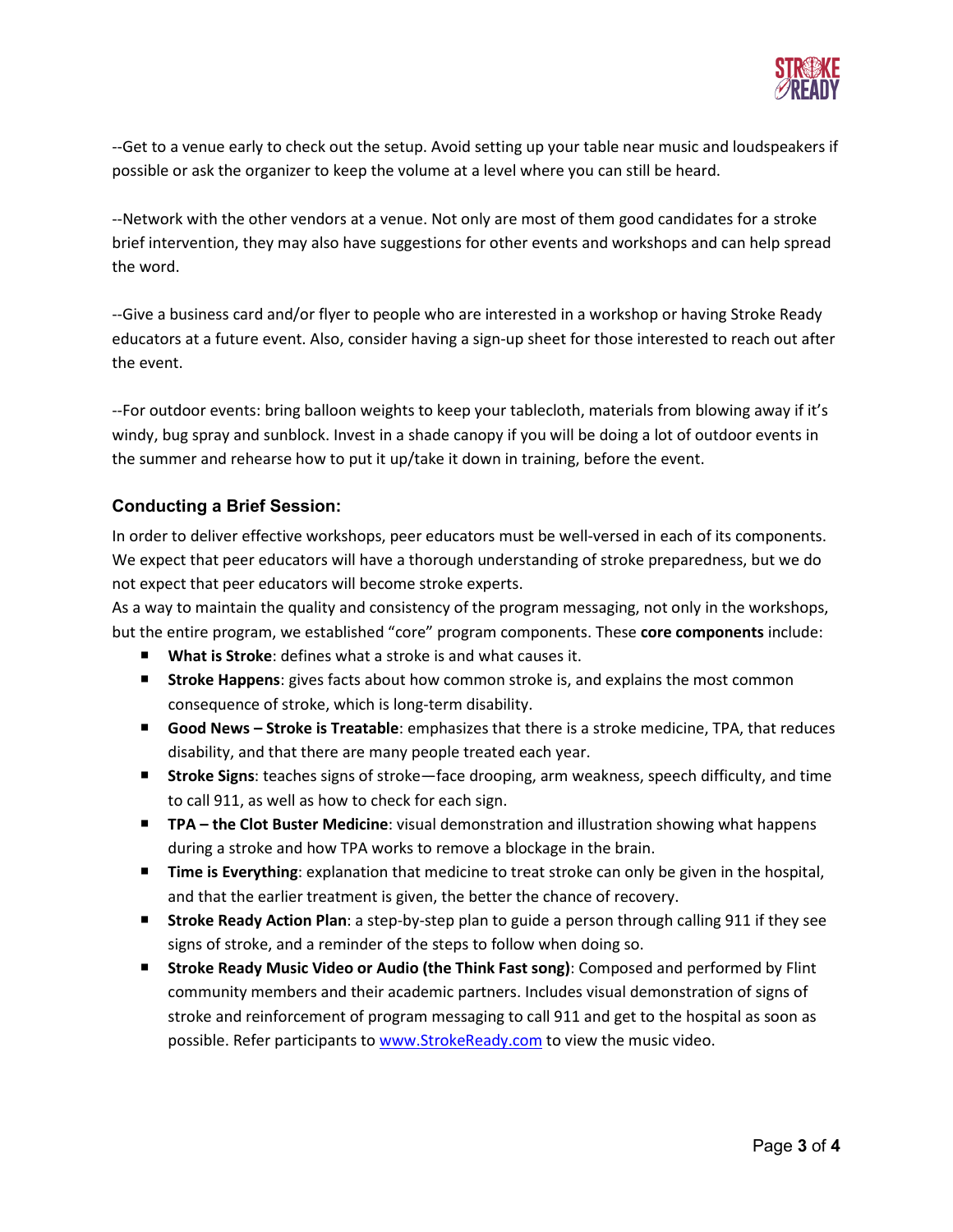

--Get to a venue early to check out the setup. Avoid setting up your table near music and loudspeakers if possible or ask the organizer to keep the volume at a level where you can still be heard.

--Network with the other vendors at a venue. Not only are most of them good candidates for a stroke brief intervention, they may also have suggestions for other events and workshops and can help spread the word.

--Give a business card and/or flyer to people who are interested in a workshop or having Stroke Ready educators at a future event. Also, consider having a sign-up sheet for those interested to reach out after the event.

--For outdoor events: bring balloon weights to keep your tablecloth, materials from blowing away if it's windy, bug spray and sunblock. Invest in a shade canopy if you will be doing a lot of outdoor events in the summer and rehearse how to put it up/take it down in training, before the event.

## **Conducting a Brief Session:**

In order to deliver effective workshops, peer educators must be well-versed in each of its components. We expect that peer educators will have a thorough understanding of stroke preparedness, but we do not expect that peer educators will become stroke experts.

As a way to maintain the quality and consistency of the program messaging, not only in the workshops, but the entire program, we established "core" program components. These **core components** include:

- **What is Stroke**: defines what a stroke is and what causes it.
- **Stroke Happens**: gives facts about how common stroke is, and explains the most common consequence of stroke, which is long-term disability.
- **Good News Stroke is Treatable**: emphasizes that there is a stroke medicine, TPA, that reduces disability, and that there are many people treated each year.
- Stroke Signs: teaches signs of stroke—face drooping, arm weakness, speech difficulty, and time to call 911, as well as how to check for each sign.
- **TPA the Clot Buster Medicine**: visual demonstration and illustration showing what happens during a stroke and how TPA works to remove a blockage in the brain.
- **Time is Everything**: explanation that medicine to treat stroke can only be given in the hospital, and that the earlier treatment is given, the better the chance of recovery.
- **Stroke Ready Action Plan**: a step-by-step plan to guide a person through calling 911 if they see signs of stroke, and a reminder of the steps to follow when doing so.
- **Stroke Ready Music Video or Audio (the Think Fast song)**: Composed and performed by Flint community members and their academic partners. Includes visual demonstration of signs of stroke and reinforcement of program messaging to call 911 and get to the hospital as soon as possible. Refer participants to [www.StrokeReady.com](http://www.strokeready.com/) to view the music video.